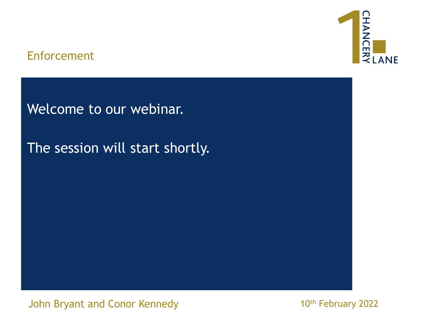## Enforcement



Welcome to our webinar.

The session will start shortly.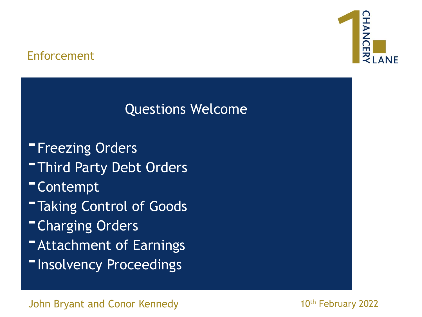## Enforcement



# Questions Welcome

**-Freezing Orders** 

- **-Third Party Debt Orders**
- -Contempt
- **-Taking Control of Goods**
- **-Charging Orders**
- **-Attachment of Earnings**
- **-Insolvency Proceedings**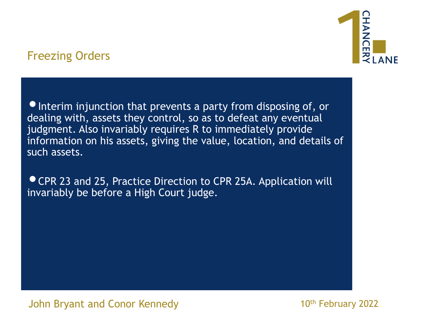•Interim injunction that prevents a party from disposing of, or dealing with, assets they control, so as to defeat any eventual judgment. Also invariably requires R to immediately provide information on his assets, giving the value, location, and details of such assets.

•CPR 23 and 25, Practice Direction to CPR 25A. Application will invariably be before a High Court judge.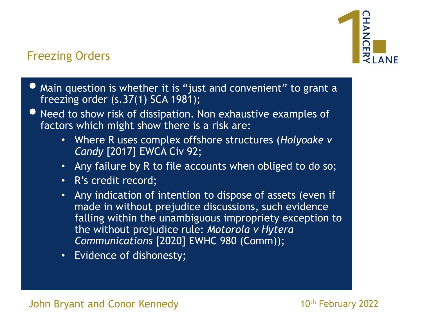

- Main question is whether it is "just and convenient" to grant a freezing order (s.37(1) SCA 1981);
- Need to show risk of dissipation. Non exhaustive examples of factors which might show there is a risk are:
	- Where R uses complex offshore structures (*Holyoake v Candy* [2017] EWCA Civ 92;
	- Any failure by R to file accounts when obliged to do so;
	- R's credit record;
	- Any indication of intention to dispose of assets (even if made in without prejudice discussions, such evidence falling within the unambiguous impropriety exception to the without prejudice rule: *Motorola v Hytera Communications* [2020] EWHC 980 (Comm));
	- Evidence of dishonesty;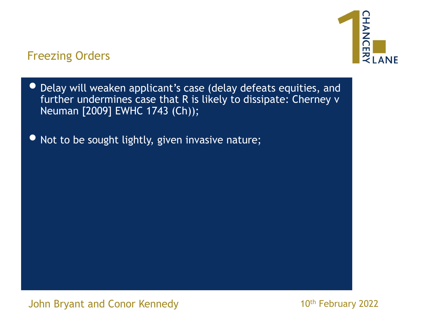

- Delay will weaken applicant's case (delay defeats equities, and further undermines case that R is likely to dissipate: Cherney v Neuman [2009] EWHC 1743 (Ch));
- Not to be sought lightly, given invasive nature;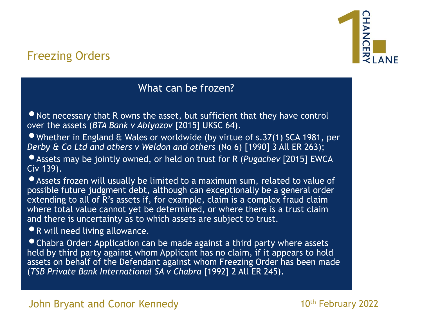#### What can be frozen?

• Not necessary that R owns the asset, but sufficient that they have control over the assets (*BTA Bank v Ablyazov* [2015] UKSC 64).

•Whether in England & Wales or worldwide (by virtue of s.37(1) SCA 1981, per *Derby & Co Ltd and others v Weldon and others* (No 6) [1990] 3 All ER 263);

•Assets may be jointly owned, or held on trust for R (*Pugachev* [2015] EWCA Civ 139).

•Assets frozen will usually be limited to a maximum sum, related to value of possible future judgment debt, although can exceptionally be a general order extending to all of R's assets if, for example, claim is a complex fraud claim where total value cannot yet be determined, or where there is a trust claim and there is uncertainty as to which assets are subject to trust.

•R will need living allowance.

•Chabra Order: Application can be made against a third party where assets held by third party against whom Applicant has no claim, if it appears to hold assets on behalf of the Defendant against whom Freezing Order has been made (*TSB Private Bank International SA v Chabra* [1992] 2 All ER 245).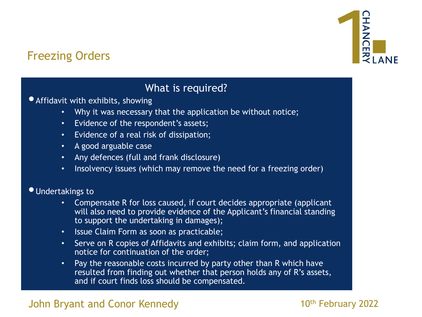

#### What is required?

•Affidavit with exhibits, showing

- Why it was necessary that the application be without notice;
- Evidence of the respondent's assets;
- Evidence of a real risk of dissipation;
- A good arguable case
- Any defences (full and frank disclosure)
- Insolvency issues (which may remove the need for a freezing order)

#### •Undertakings to

- Compensate R for loss caused, if court decides appropriate (applicant will also need to provide evidence of the Applicant's financial standing to support the undertaking in damages);
- Issue Claim Form as soon as practicable;
- Serve on R copies of Affidavits and exhibits; claim form, and application notice for continuation of the order;
- Pay the reasonable costs incurred by party other than R which have resulted from finding out whether that person holds any of R's assets, and if court finds loss should be compensated.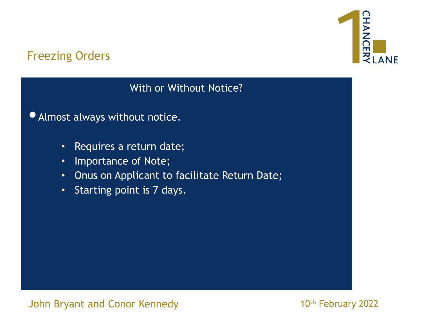

With or Without Notice?

•Almost always without notice.

- Requires a return date;
- Importance of Note;
- Onus on Applicant to facilitate Return Date;
- Starting point is 7 days.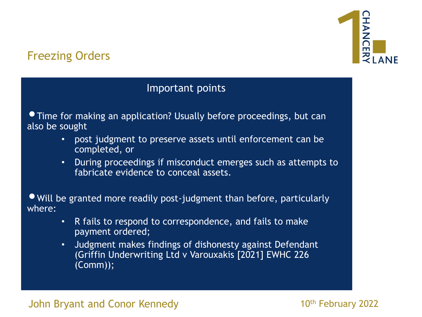# HANCEI <u>것</u>

# Freezing Orders

#### Important points

• Time for making an application? Usually before proceedings, but can also be sought

- post judgment to preserve assets until enforcement can be completed, or
- During proceedings if misconduct emerges such as attempts to fabricate evidence to conceal assets.

•Will be granted more readily post-judgment than before, particularly where:

- R fails to respond to correspondence, and fails to make payment ordered;
- Judgment makes findings of dishonesty against Defendant (Griffin Underwriting Ltd v Varouxakis [2021] EWHC 226 (Comm));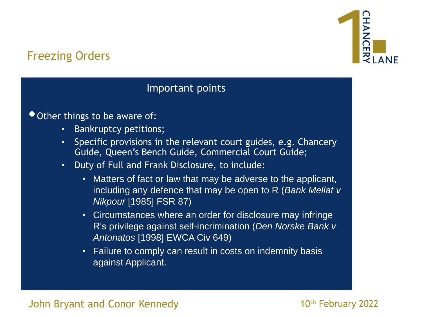# HANCEI  $\frac{2}{3}$  LANF

# Freezing Orders

#### Important points

• Other things to be aware of:

- Bankruptcy petitions;
- Specific provisions in the relevant court guides, e.g. Chancery Guide, Queen's Bench Guide, Commercial Court Guide;
- Duty of Full and Frank Disclosure, to include:
	- Matters of fact or law that may be adverse to the applicant, including any defence that may be open to R (*Bank Mellat v Nikpour* [1985] FSR 87)
	- Circumstances where an order for disclosure may infringe R's privilege against self-incrimination (*Den Norske Bank v Antonatos* [1998] EWCA Civ 649)
	- Failure to comply can result in costs on indemnity basis against Applicant.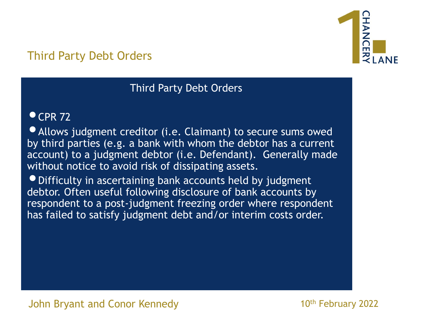

# Third Party Debt Orders

#### Third Party Debt Orders

#### $^{\circ}$  CPR 72

•Allows judgment creditor (i.e. Claimant) to secure sums owed by third parties (e.g. a bank with whom the debtor has a current account) to a judgment debtor (i.e. Defendant). Generally made without notice to avoid risk of dissipating assets.

•Difficulty in ascertaining bank accounts held by judgment debtor. Often useful following disclosure of bank accounts by respondent to a post-judgment freezing order where respondent has failed to satisfy judgment debt and/or interim costs order.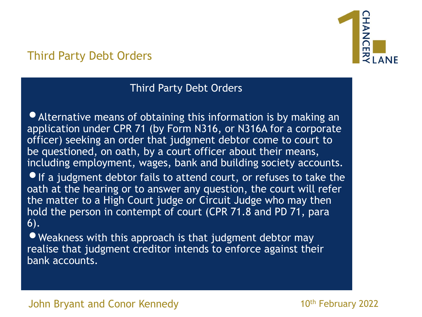

# Third Party Debt Orders

#### Third Party Debt Orders

•Alternative means of obtaining this information is by making an application under CPR 71 (by Form N316, or N316A for a corporate officer) seeking an order that judgment debtor come to court to be questioned, on oath, by a court officer about their means, including employment, wages, bank and building society accounts.  $\bullet$  If a judgment debtor fails to attend court, or refuses to take the oath at the hearing or to answer any question, the court will refer the matter to a High Court judge or Circuit Judge who may then hold the person in contempt of court (CPR 71.8 and PD 71, para 6).

• Weakness with this approach is that judgment debtor may realise that judgment creditor intends to enforce against their bank accounts.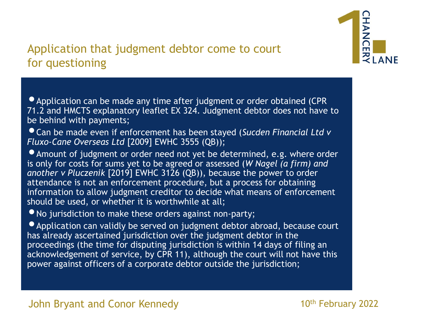

# Application that judgment debtor come to court for questioning

• Application can be made any time after judgment or order obtained (CPR) 71.2 and HMCTS explanatory leaflet EX 324. Judgment debtor does not have to be behind with payments;

•Can be made even if enforcement has been stayed (*Sucden Financial Ltd v Fluxo-Cane Overseas Ltd* [2009] EWHC 3555 (QB));

•Amount of judgment or order need not yet be determined, e.g. where order is only for costs for sums yet to be agreed or assessed (*W Nagel (a firm) and another v Pluczenik* [2019] EWHC 3126 (QB)), because the power to order attendance is not an enforcement procedure, but a process for obtaining information to allow judgment creditor to decide what means of enforcement should be used, or whether it is worthwhile at all;

• No jurisdiction to make these orders against non-party;

• Application can validly be served on judgment debtor abroad, because court has already ascertained jurisdiction over the judgment debtor in the proceedings (the time for disputing jurisdiction is within 14 days of filing an acknowledgement of service, by CPR 11), although the court will not have this power against officers of a corporate debtor outside the jurisdiction;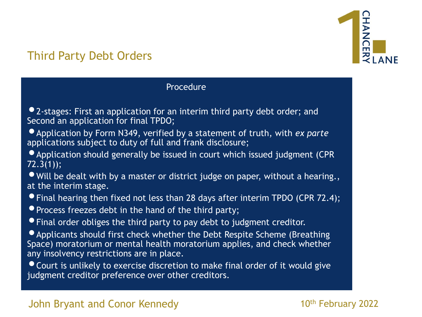

# Third Party Debt Orders

#### Procedure

- •2-stages: First an application for an interim third party debt order; and Second an application for final TPDO;
- •Application by Form N349, verified by a statement of truth, with *ex parte*  applications subject to duty of full and frank disclosure;
- Application should generally be issued in court which issued judgment (CPR 72.3(1));
- Will be dealt with by a master or district judge on paper, without a hearing., at the interim stage.
- •Final hearing then fixed not less than 28 days after interim TPDO (CPR 72.4);
- Process freezes debt in the hand of the third party;
- •Final order obliges the third party to pay debt to judgment creditor.
- •Applicants should first check whether the Debt Respite Scheme (Breathing Space) moratorium or mental health moratorium applies, and check whether any insolvency restrictions are in place.
- •Court is unlikely to exercise discretion to make final order of it would give judgment creditor preference over other creditors.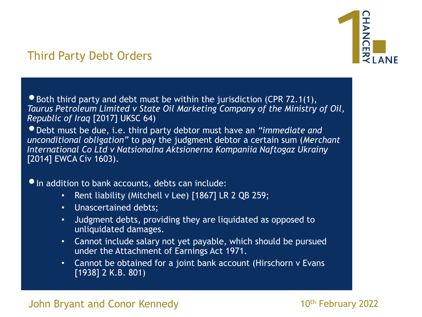

# Third Party Debt Orders

 $\bullet$  Both third party and debt must be within the jurisdiction (CPR 72.1(1), *Taurus Petroleum Limited v State Oil Marketing Company of the Ministry of Oil, Republic of Iraq* [2017] UKSC 64)

•Debt must be due, i.e. third party debtor must have an *"immediate and unconditional obligation"* to pay the judgment debtor a certain sum (*Merchant International Co Ltd v Natsionalna Aktsionerna Kompaniia Naftogaz Ukrainy* [2014] EWCA Civ 1603).

#### • In addition to bank accounts, debts can include:

- Rent liability (Mitchell v Lee) [1867] LR 2 QB 259;
- Unascertained debts;
- Judgment debts, providing they are liquidated as opposed to unliquidated damages.
- Cannot include salary not yet payable, which should be pursued under the Attachment of Earnings Act 1971.
- Cannot be obtained for a joint bank account (Hirschorn v Evans [1938] 2 K.B. 801)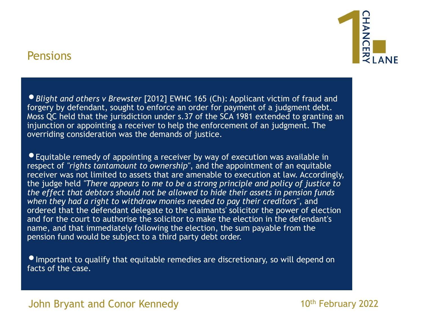

#### Pensions

•*Blight and others v Brewster* [2012] EWHC 165 (Ch): Applicant victim of fraud and forgery by defendant, sought to enforce an order for payment of a judgment debt. Moss QC held that the jurisdiction under s.37 of the SCA 1981 extended to granting an injunction or appointing a receiver to help the enforcement of an judgment. The overriding consideration was the demands of justice.

•Equitable remedy of appointing a receiver by way of execution was available in respect of *"rights tantamount to ownership"*, and the appointment of an equitable receiver was not limited to assets that are amenable to execution at law. Accordingly, the judge held *"There appears to me to be a strong principle and policy of justice to the effect that debtors should not be allowed to hide their assets in pension funds when they had a right to withdraw monies needed to pay their creditors"*, and ordered that the defendant delegate to the claimants' solicitor the power of election and for the court to authorise the solicitor to make the election in the defendant's name, and that immediately following the election, the sum payable from the pension fund would be subject to a third party debt order.

**• Important to qualify that equitable remedies are discretionary, so will depend on** facts of the case.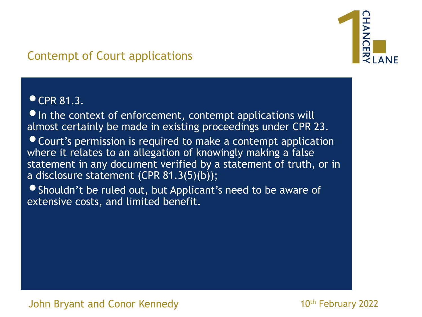

# Contempt of Court applications

#### $\bullet$  CPR 81.3.

 $\bullet$  In the context of enforcement, contempt applications will almost certainly be made in existing proceedings under CPR 23.

•Court's permission is required to make a contempt application where it relates to an allegation of knowingly making a false statement in any document verified by a statement of truth, or in a disclosure statement (CPR 81.3(5)(b));

•Shouldn't be ruled out, but Applicant's need to be aware of extensive costs, and limited benefit.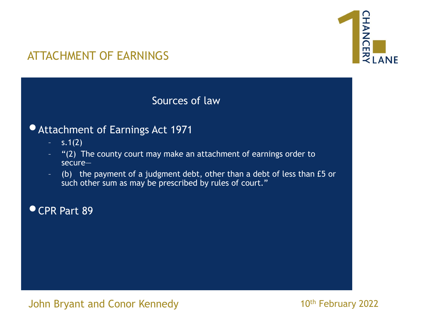

#### Sources of law

#### •Attachment of Earnings Act 1971

- $-$  s.1(2)
- "(2) The county court may make an attachment of earnings order to secure—
- (b) the payment of a judgment debt, other than a debt of less than £5 or such other sum as may be prescribed by rules of court."

•CPR Part 89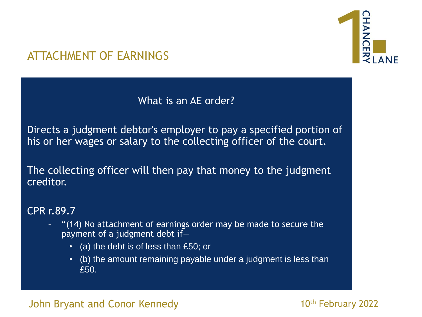

## What is an AE order?

Directs a judgment debtor's employer to pay a specified portion of his or her wages or salary to the collecting officer of the court.

The collecting officer will then pay that money to the judgment creditor.

#### CPR r.89.7

- "(14) No attachment of earnings order may be made to secure the payment of a judgment debt if—
	- (a) the debt is of less than £50; or
	- (b) the amount remaining payable under a judgment is less than £50.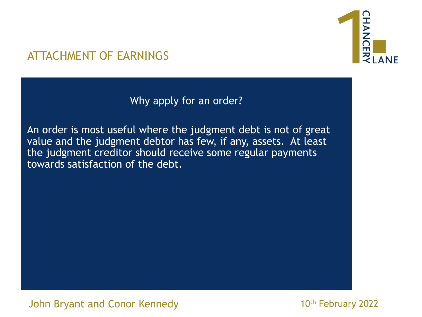

Why apply for an order?

An order is most useful where the judgment debt is not of great value and the judgment debtor has few, if any, assets. At least the judgment creditor should receive some regular payments towards satisfaction of the debt.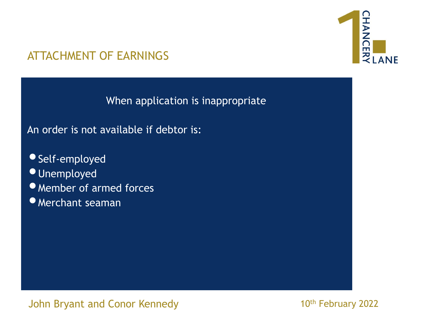

When application is inappropriate

An order is not available if debtor is:

- •Self-employed *Unemployed* •Member of armed forces
- •Merchant seaman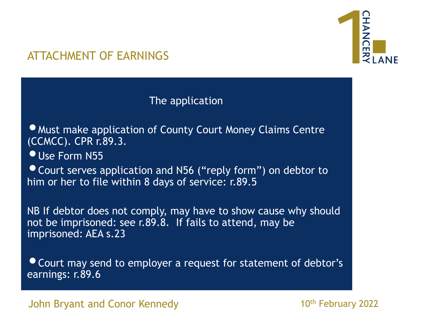

#### The application

• Must make application of County Court Money Claims Centre (CCMCC). CPR r.89.3.

**• Use Form N55** 

• Court serves application and N56 ("reply form") on debtor to him or her to file within 8 days of service: r.89.5

NB If debtor does not comply, may have to show cause why should not be imprisoned: see r.89.8. If fails to attend, may be imprisoned: AEA s.23

•Court may send to employer a request for statement of debtor's earnings: r.89.6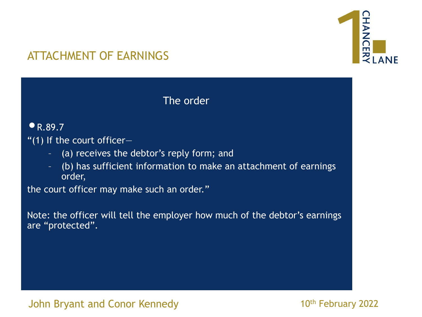

The order

#### $\bullet$  R.89.7

"(1) If the court officer-

- (a) receives the debtor's reply form; and
- (b) has sufficient information to make an attachment of earnings order,

the court officer may make such an order."

Note: the officer will tell the employer how much of the debtor's earnings are "protected".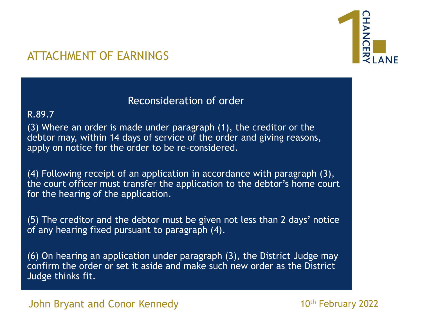

#### Reconsideration of order

#### R.89.7

(3) Where an order is made under paragraph (1), the creditor or the debtor may, within 14 days of service of the order and giving reasons, apply on notice for the order to be re-considered.

(4) Following receipt of an application in accordance with paragraph (3), the court officer must transfer the application to the debtor's home court for the hearing of the application.

(5) The creditor and the debtor must be given not less than 2 days' notice of any hearing fixed pursuant to paragraph (4).

(6) On hearing an application under paragraph (3), the District Judge may confirm the order or set it aside and make such new order as the District Judge thinks fit.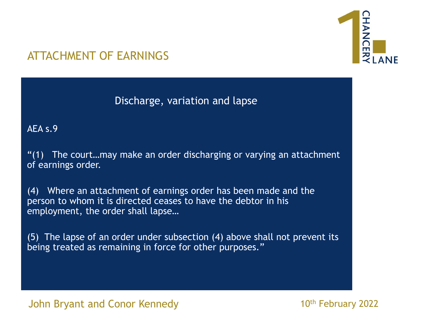

Discharge, variation and lapse

AEA s.9

"(1) The court…may make an order discharging or varying an attachment of earnings order.

(4) Where an attachment of earnings order has been made and the person to whom it is directed ceases to have the debtor in his employment, the order shall lapse…

(5) The lapse of an order under subsection (4) above shall not prevent its being treated as remaining in force for other purposes."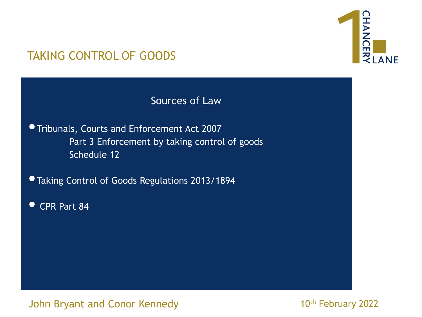

Sources of Law

•Tribunals, Courts and Enforcement Act 2007 Part 3 Enforcement by taking control of goods Schedule 12

•Taking Control of Goods Regulations 2013/1894

• CPR Part 84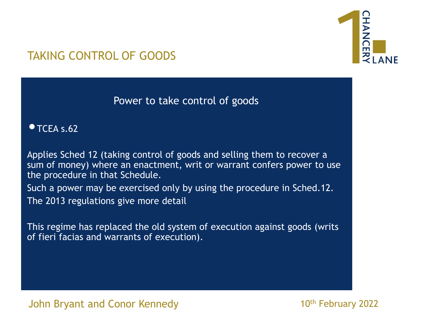

Power to take control of goods

 $\bullet$  TCEA s.62

Applies Sched 12 (taking control of goods and selling them to recover a sum of money) where an enactment, writ or warrant confers power to use the procedure in that Schedule.

Such a power may be exercised only by using the procedure in Sched.12. The 2013 regulations give more detail

This regime has replaced the old system of execution against goods (writs of fieri facias and warrants of execution).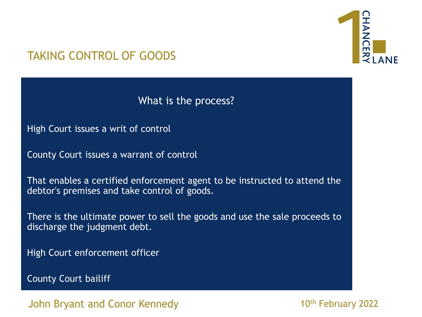

What is the process?

High Court issues a writ of control

County Court issues a warrant of control

That enables a certified enforcement agent to be instructed to attend the debtor's premises and take control of goods.

There is the ultimate power to sell the goods and use the sale proceeds to discharge the judgment debt.

High Court enforcement officer

County Court bailiff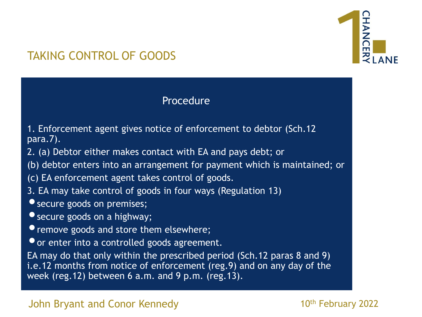

#### Procedure

- 1. Enforcement agent gives notice of enforcement to debtor (Sch.12 para.7).
- 2. (a) Debtor either makes contact with EA and pays debt; or
- (b) debtor enters into an arrangement for payment which is maintained; or
- (c) EA enforcement agent takes control of goods.
- 3. EA may take control of goods in four ways (Regulation 13)
- secure goods on premises;
- **•** secure goods on a highway;
- **•** remove goods and store them elsewhere;
- •or enter into a controlled goods agreement.

EA may do that only within the prescribed period (Sch.12 paras 8 and 9) i.e.12 months from notice of enforcement (reg.9) and on any day of the week (reg.12) between 6 a.m. and 9 p.m. (reg.13).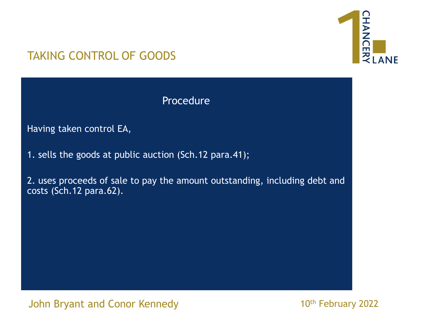

Procedure

Having taken control EA,

1. sells the goods at public auction (Sch.12 para.41);

2. uses proceeds of sale to pay the amount outstanding, including debt and costs (Sch.12 para.62).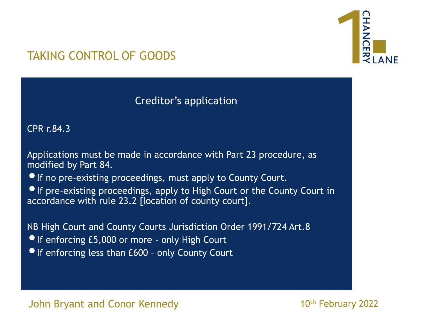

#### Creditor's application

CPR r.84.3

Applications must be made in accordance with Part 23 procedure, as modified by Part 84.

• If no pre-existing proceedings, must apply to County Court.

•If pre-existing proceedings, apply to High Court or the County Court in accordance with rule 23.2 [location of county court].

NB High Court and County Courts Jurisdiction Order 1991/724 Art.8 **• If enforcing £5,000 or more - only High Court** • If enforcing less than £600 - only County Court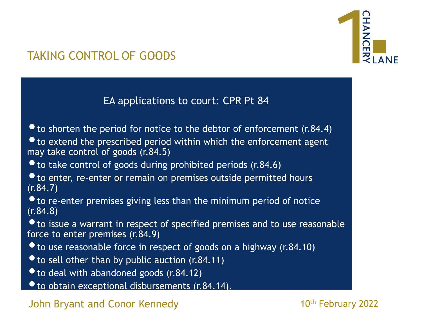

EA applications to court: CPR Pt 84

 $\bullet$  to shorten the period for notice to the debtor of enforcement (r.84.4)  $\bullet$  to extend the prescribed period within which the enforcement agent may take control of goods (r.84.5)  $\bullet$  to take control of goods during prohibited periods (r.84.6)  $\bullet$  to enter, re-enter or remain on premises outside permitted hours (r.84.7)  $\bullet$  to re-enter premises giving less than the minimum period of notice (r.84.8) • to issue a warrant in respect of specified premises and to use reasonable force to enter premises (r.84.9) • to use reasonable force in respect of goods on a highway (r.84.10)  $\bullet$  to sell other than by public auction (r.84.11)

- to deal with abandoned goods (r.84.12)
- to obtain exceptional disbursements (r.84.14).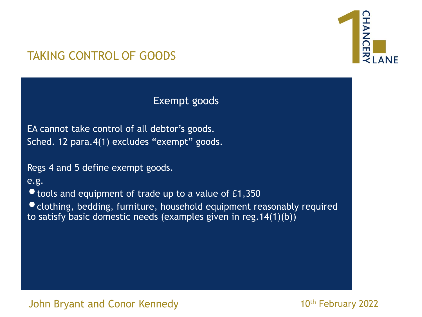

Exempt goods

EA cannot take control of all debtor's goods. Sched. 12 para.4(1) excludes "exempt" goods.

Regs 4 and 5 define exempt goods.

e.g.

• tools and equipment of trade up to a value of £1,350

•clothing, bedding, furniture, household equipment reasonably required to satisfy basic domestic needs (examples given in reg.14(1)(b))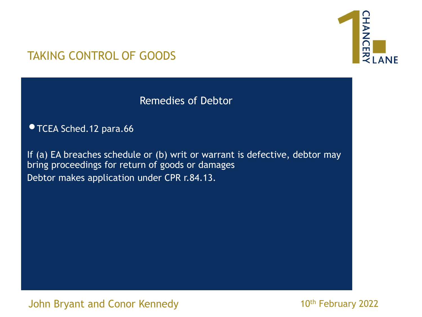

Remedies of Debtor

•TCEA Sched.12 para.66

If (a) EA breaches schedule or (b) writ or warrant is defective, debtor may bring proceedings for return of goods or damages Debtor makes application under CPR r.84.13.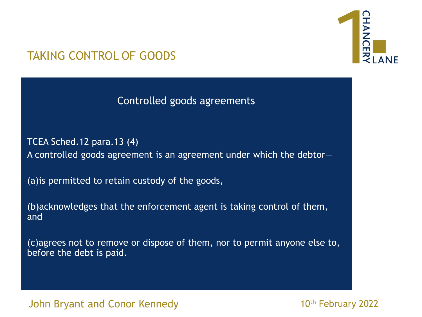

Controlled goods agreements

TCEA Sched.12 para.13 (4) A controlled goods agreement is an agreement under which the debtor—

(a)is permitted to retain custody of the goods,

(b)acknowledges that the enforcement agent is taking control of them, and

(c)agrees not to remove or dispose of them, nor to permit anyone else to, before the debt is paid.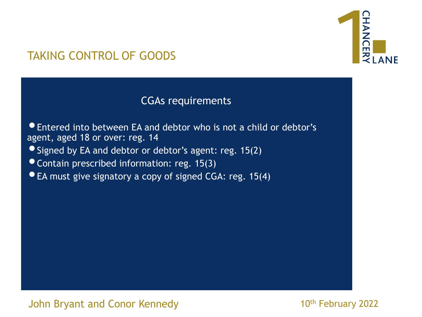

#### CGAs requirements

•Entered into between EA and debtor who is not a child or debtor's agent, aged 18 or over: reg. 14

•Signed by EA and debtor or debtor's agent: reg. 15(2)

•Contain prescribed information: reg. 15(3)

• EA must give signatory a copy of signed CGA: reg. 15(4)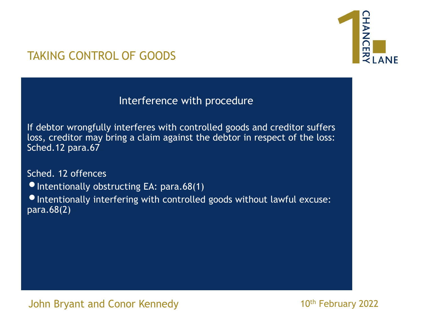

## TAKING CONTROL OF GOODS

Interference with procedure

If debtor wrongfully interferes with controlled goods and creditor suffers loss, creditor may bring a claim against the debtor in respect of the loss: Sched.12 para.67

Sched. 12 offences

 $\bullet$  Intentionally obstructing EA: para.68(1)

•Intentionally interfering with controlled goods without lawful excuse: para.68(2)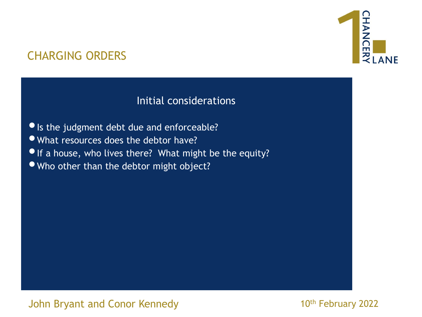# HANCEI **ZLANE**

## CHARGING ORDERS

## Initial considerations

- •Is the judgment debt due and enforceable?
- •What resources does the debtor have?
- If a house, who lives there? What might be the equity?
- •Who other than the debtor might object?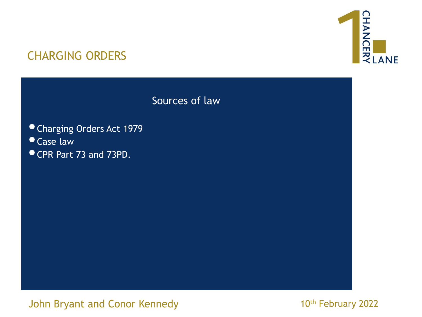

Sources of law

#### •Charging Orders Act 1979

- •Case law
- •CPR Part 73 and 73PD.

John Bryant and Conor Kennedy **Fig. 10th February 2022**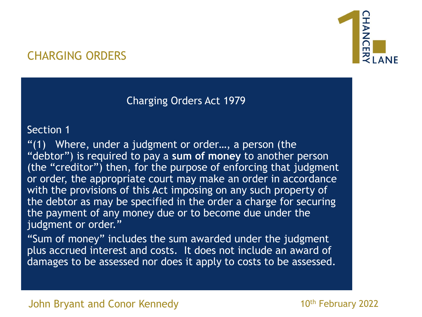## Charging Orders Act 1979

#### Section 1

"(1) Where, under a judgment or order…, a person (the "debtor") is required to pay a **sum of money** to another person (the "creditor") then, for the purpose of enforcing that judgment or order, the appropriate court may make an order in accordance with the provisions of this Act imposing on any such property of the debtor as may be specified in the order a charge for securing the payment of any money due or to become due under the judgment or order."

"Sum of money" includes the sum awarded under the judgment plus accrued interest and costs. It does not include an award of damages to be assessed nor does it apply to costs to be assessed.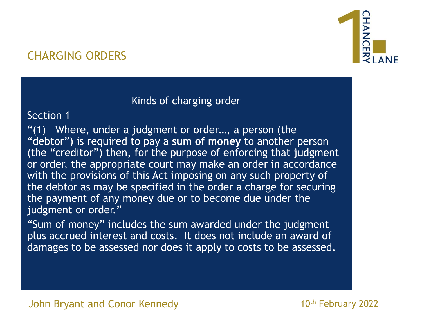### Kinds of charging order

#### Section 1

"(1) Where, under a judgment or order…, a person (the "debtor") is required to pay a **sum of money** to another person (the "creditor") then, for the purpose of enforcing that judgment or order, the appropriate court may make an order in accordance with the provisions of this Act imposing on any such property of the debtor as may be specified in the order a charge for securing the payment of any money due or to become due under the judgment or order."

"Sum of money" includes the sum awarded under the judgment plus accrued interest and costs. It does not include an award of damages to be assessed nor does it apply to costs to be assessed.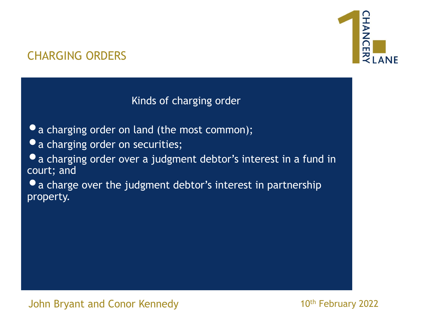

Kinds of charging order

- a charging order on land (the most common);
- $\bullet$  a charging order on securities;
- •a charging order over a judgment debtor's interest in a fund in court; and
- $\bullet$  a charge over the judgment debtor's interest in partnership property.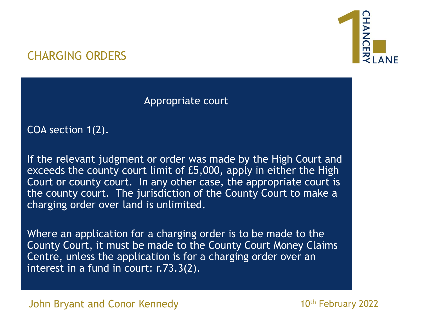

Appropriate court

COA section 1(2).

If the relevant judgment or order was made by the High Court and exceeds the county court limit of £5,000, apply in either the High Court or county court. In any other case, the appropriate court is the county court. The jurisdiction of the County Court to make a charging order over land is unlimited.

Where an application for a charging order is to be made to the County Court, it must be made to the County Court Money Claims Centre, unless the application is for a charging order over an interest in a fund in court: r.73.3(2).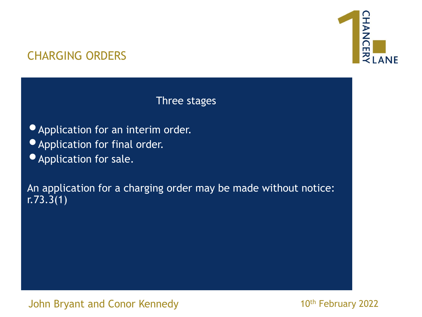

Three stages

- •Application for an interim order.
- •Application for final order.
- •Application for sale.

An application for a charging order may be made without notice:  $r.73.\overline{3}(1)$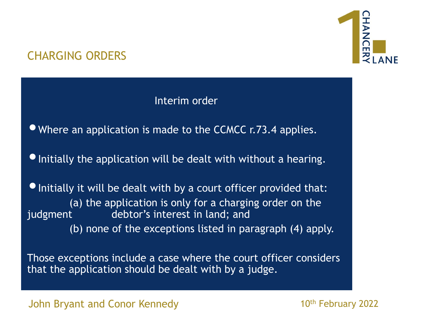## Interim order

•Where an application is made to the CCMCC r.73.4 applies.

• Initially the application will be dealt with without a hearing.

• Initially it will be dealt with by a court officer provided that: (a) the application is only for a charging order on the judgment debtor's interest in land; and (b) none of the exceptions listed in paragraph (4) apply.

Those exceptions include a case where the court officer considers that the application should be dealt with by a judge.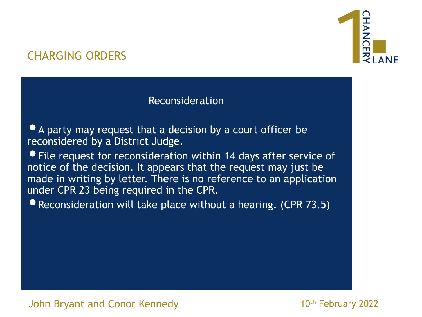

#### Reconsideration

**• A party may request that a decision by a court officer be** reconsidered by a District Judge.

•File request for reconsideration within 14 days after service of notice of the decision. It appears that the request may just be made in writing by letter. There is no reference to an application under CPR 23 being required in the CPR.

• Reconsideration will take place without a hearing. (CPR 73.5)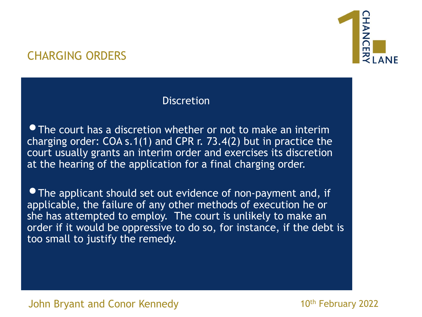

#### **Discretion**

• The court has a discretion whether or not to make an interim charging order: COA s.1(1) and CPR r. 73.4(2) but in practice the court usually grants an interim order and exercises its discretion at the hearing of the application for a final charging order.

• The applicant should set out evidence of non-payment and, if applicable, the failure of any other methods of execution he or she has attempted to employ. The court is unlikely to make an order if it would be oppressive to do so, for instance, if the debt is too small to justify the remedy.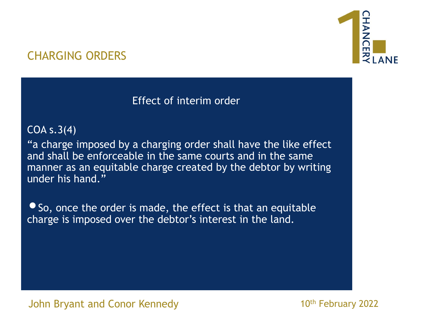## Effect of interim order

### COA s.3(4)

"a charge imposed by a charging order shall have the like effect and shall be enforceable in the same courts and in the same manner as an equitable charge created by the debtor by writing under his hand."

• So, once the order is made, the effect is that an equitable charge is imposed over the debtor's interest in the land.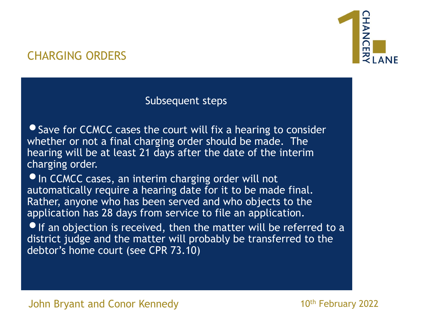

#### Subsequent steps

• Save for CCMCC cases the court will fix a hearing to consider whether or not a final charging order should be made. The hearing will be at least 21 days after the date of the interim charging order.

**•In CCMCC cases, an interim charging order will not** automatically require a hearing date for it to be made final. Rather, anyone who has been served and who objects to the application has 28 days from service to file an application.

• If an objection is received, then the matter will be referred to a district judge and the matter will probably be transferred to the debtor's home court (see CPR 73.10)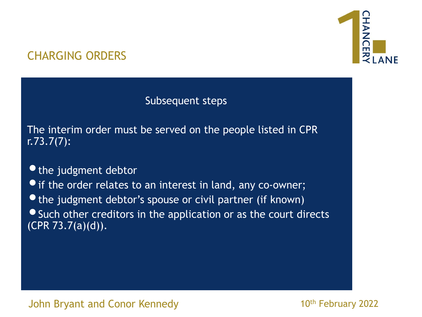

Subsequent steps

The interim order must be served on the people listed in CPR r.73.7(7):

• the judgment debtor

**•** if the order relates to an interest in land, any co-owner;

• the judgment debtor's spouse or civil partner (if known) **• Such other creditors in the application or as the court directs**  $(CPR 73.7(a)(d)).$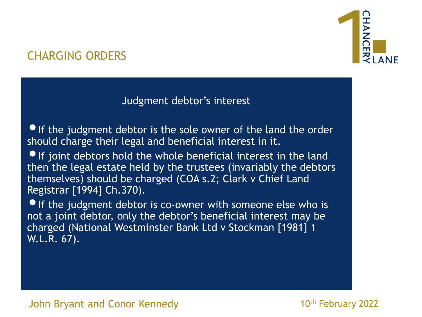

### Judgment debtor's interest

• If the judgment debtor is the sole owner of the land the order should charge their legal and beneficial interest in it.

•If joint debtors hold the whole beneficial interest in the land then the legal estate held by the trustees (invariably the debtors themselves) should be charged (COA s.2; Clark v Chief Land Registrar [1994] Ch.370).

**• If the judgment debtor is co-owner with someone else who is** not a joint debtor, only the debtor's beneficial interest may be charged (National Westminster Bank Ltd v Stockman [1981] 1 W.L.R. 67).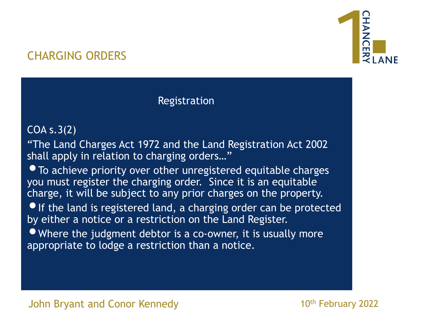

#### Registration

#### COA s.3(2)

"The Land Charges Act 1972 and the Land Registration Act 2002 shall apply in relation to charging orders..."

• To achieve priority over other unregistered equitable charges you must register the charging order. Since it is an equitable charge, it will be subject to any prior charges on the property.

• If the land is registered land, a charging order can be protected by either a notice or a restriction on the Land Register.

• Where the judgment debtor is a co-owner, it is usually more appropriate to lodge a restriction than a notice.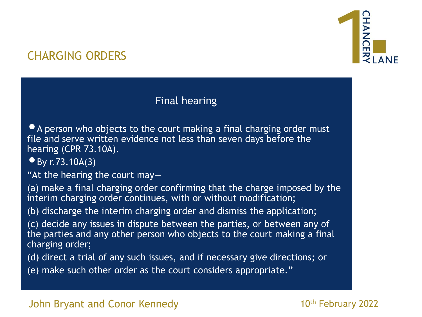

## Final hearing

• A person who objects to the court making a final charging order must file and serve written evidence not less than seven days before the hearing (CPR 73.10A).

 $•$  By r.73.10A(3)

"At the hearing the court may—

(a) make a final charging order confirming that the charge imposed by the interim charging order continues, with or without modification;

(b) discharge the interim charging order and dismiss the application;

(c) decide any issues in dispute between the parties, or between any of the parties and any other person who objects to the court making a final charging order;

(d) direct a trial of any such issues, and if necessary give directions; or

(e) make such other order as the court considers appropriate."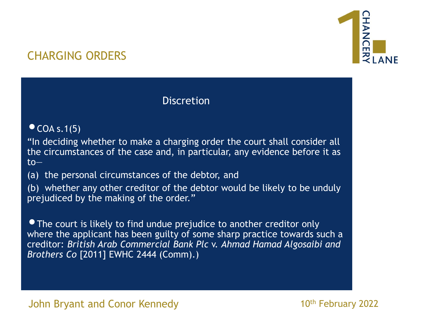

### **Discretion**

#### $\bullet$  COA s.1(5)

"In deciding whether to make a charging order the court shall consider all the circumstances of the case and, in particular, any evidence before it as to—

(a) the personal circumstances of the debtor, and

(b) whether any other creditor of the debtor would be likely to be unduly prejudiced by the making of the order."

• The court is likely to find undue prejudice to another creditor only where the applicant has been guilty of some sharp practice towards such a creditor: *British Arab Commercial Bank Plc* v. *Ahmad Hamad Algosaibi and Brothers Co* [2011] EWHC 2444 (Comm).)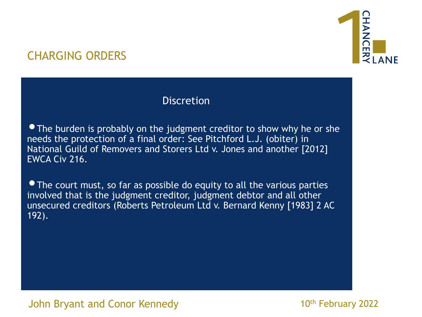

### **Discretion**

• The burden is probably on the judgment creditor to show why he or she needs the protection of a final order: See Pitchford L.J. (obiter) in National Guild of Removers and Storers Ltd v. Jones and another [2012] EWCA Civ 216.

• The court must, so far as possible do equity to all the various parties involved that is the judgment creditor, judgment debtor and all other unsecured creditors (Roberts Petroleum Ltd v. Bernard Kenny [1983] 2 AC 192).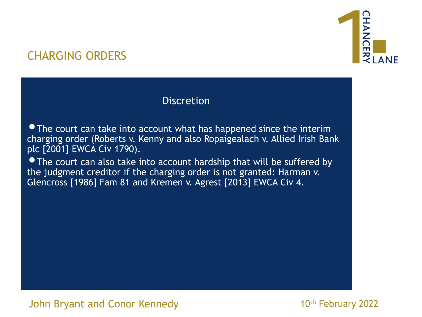

#### **Discretion**

• The court can take into account what has happened since the interim charging order (Roberts v. Kenny and also Ropaigealach v. Allied Irish Bank plc [2001] EWCA Civ 1790).

• The court can also take into account hardship that will be suffered by the judgment creditor if the charging order is not granted: Harman v. Glencross [1986] Fam 81 and Kremen v. Agrest [2013] EWCA Civ 4.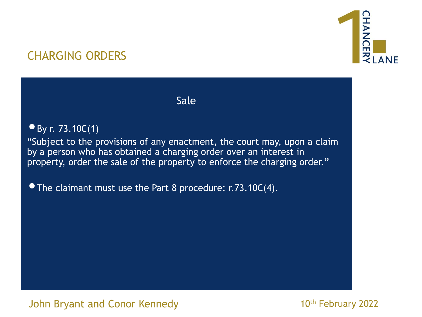

Sale

#### • By r. 73.10 $C(1)$

"Subject to the provisions of any enactment, the court may, upon a claim by a person who has obtained a charging order over an interest in property, order the sale of the property to enforce the charging order."

• The claimant must use the Part 8 procedure: r.73.10C(4).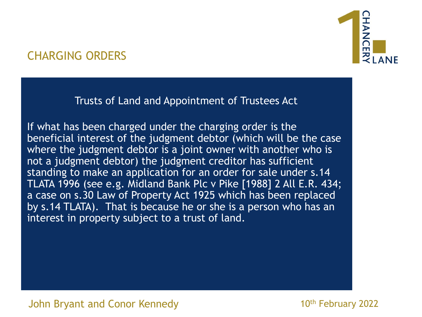Trusts of Land and Appointment of Trustees Act

If what has been charged under the charging order is the beneficial interest of the judgment debtor (which will be the case where the judgment debtor is a joint owner with another who is not a judgment debtor) the judgment creditor has sufficient standing to make an application for an order for sale under s.14 TLATA 1996 (see e.g. Midland Bank Plc v Pike [1988] 2 All E.R. 434; a case on s.30 Law of Property Act 1925 which has been replaced by s.14 TLATA). That is because he or she is a person who has an interest in property subject to a trust of land.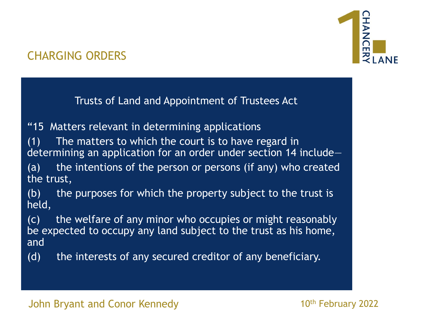

Trusts of Land and Appointment of Trustees Act

"15 Matters relevant in determining applications

(1) The matters to which the court is to have regard in determining an application for an order under section 14 include—

(a) the intentions of the person or persons (if any) who created the trust,

(b) the purposes for which the property subject to the trust is held,

(c) the welfare of any minor who occupies or might reasonably be expected to occupy any land subject to the trust as his home, and

(d) the interests of any secured creditor of any beneficiary.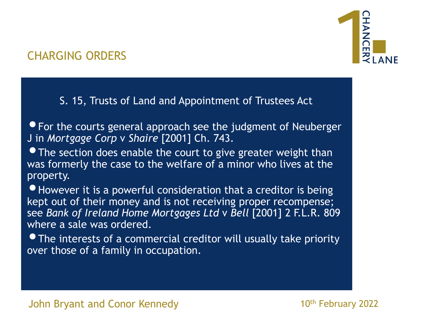

S. 15, Trusts of Land and Appointment of Trustees Act

• For the courts general approach see the judgment of Neuberger J in *Mortgage Corp* v *Shaire* [2001] Ch. 743.

• The section does enable the court to give greater weight than was formerly the case to the welfare of a minor who lives at the property.

•However it is a powerful consideration that a creditor is being kept out of their money and is not receiving proper recompense; see *Bank of Ireland Home Mortgages Ltd* v *Bell* [2001] 2 F.L.R. 809 where a sale was ordered.

•The interests of a commercial creditor will usually take priority over those of a family in occupation.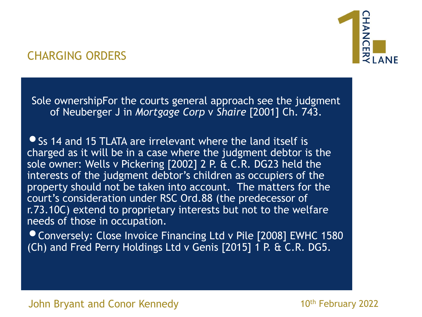Sole ownershipFor the courts general approach see the judgment of Neuberger J in *Mortgage Corp* v *Shaire* [2001] Ch. 743.

• Ss 14 and 15 TLATA are irrelevant where the land itself is charged as it will be in a case where the judgment debtor is the sole owner: Wells v Pickering [2002] 2 P. & C.R. DG23 held the interests of the judgment debtor's children as occupiers of the property should not be taken into account. The matters for the court's consideration under RSC Ord.88 (the predecessor of r.73.10C) extend to proprietary interests but not to the welfare needs of those in occupation.

•Conversely: Close Invoice Financing Ltd v Pile [2008] EWHC 1580 (Ch) and Fred Perry Holdings Ltd v Genis [2015] 1 P. & C.R. DG5.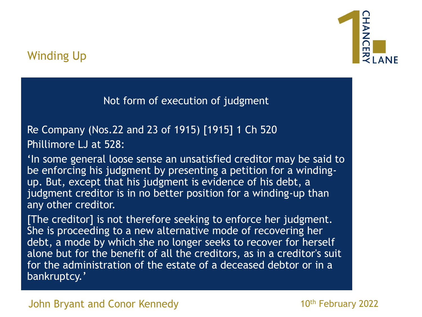

Not form of execution of judgment

Re Company (Nos.22 and 23 of 1915) [1915] 1 Ch 520 Phillimore LJ at 528:

'In some general loose sense an unsatisfied creditor may be said to be enforcing his judgment by presenting a petition for a windingup. But, except that his judgment is evidence of his debt, a judgment creditor is in no better position for a winding-up than any other creditor.

[The creditor] is not therefore seeking to enforce her judgment. She is proceeding to a new alternative mode of recovering her debt, a mode by which she no longer seeks to recover for herself alone but for the benefit of all the creditors, as in a creditor's suit for the administration of the estate of a deceased debtor or in a bankruptcy.'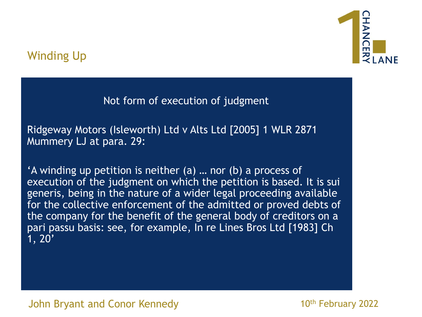

Not form of execution of judgment

Ridgeway Motors (Isleworth) Ltd v Alts Ltd [2005] 1 WLR 2871 Mummery LJ at para. 29:

'A winding up petition is neither (a) … nor (b) a process of execution of the judgment on which the petition is based. It is sui generis, being in the nature of a wider legal proceeding available for the collective enforcement of the admitted or proved debts of the company for the benefit of the general body of creditors on a pari passu basis: see, for example, In re Lines Bros Ltd [1983] Ch 1, 20'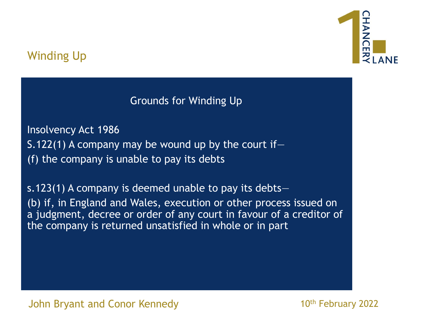

Grounds for Winding Up

Insolvency Act 1986 S.122(1) A company may be wound up by the court if  $-$ (f) the company is unable to pay its debts

s.123(1) A company is deemed unable to pay its debts— (b) if, in England and Wales, execution or other process issued on a judgment, decree or order of any court in favour of a creditor of the company is returned unsatisfied in whole or in part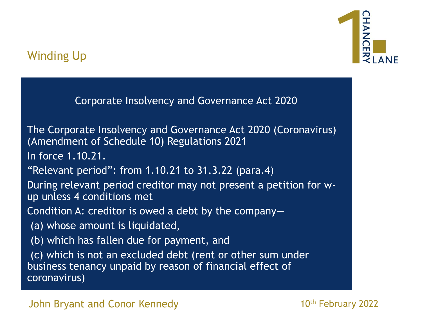

Corporate Insolvency and Governance Act 2020

The Corporate Insolvency and Governance Act 2020 (Coronavirus) (Amendment of Schedule 10) Regulations 2021

In force 1.10.21.

"Relevant period": from  $1.10.21$  to  $31.3.22$  (para.4)

During relevant period creditor may not present a petition for wup unless 4 conditions met

Condition A: creditor is owed a debt by the company—

- (a) whose amount is liquidated,
- (b) which has fallen due for payment, and

(c) which is not an excluded debt (rent or other sum under business tenancy unpaid by reason of financial effect of coronavirus)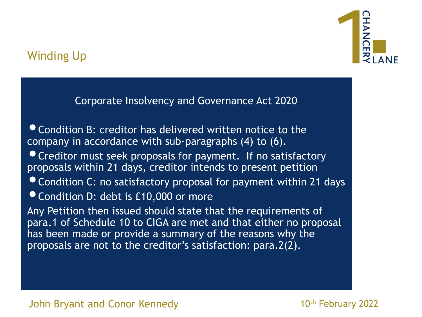

Corporate Insolvency and Governance Act 2020

**• Condition B: creditor has delivered written notice to the** company in accordance with sub-paragraphs (4) to (6).

•Creditor must seek proposals for payment. If no satisfactory proposals within 21 days, creditor intends to present petition

- •Condition C: no satisfactory proposal for payment within 21 days
- Condition D: debt is £10,000 or more

Any Petition then issued should state that the requirements of para.1 of Schedule 10 to CIGA are met and that either no proposal has been made or provide a summary of the reasons why the proposals are not to the creditor's satisfaction: para.2(2).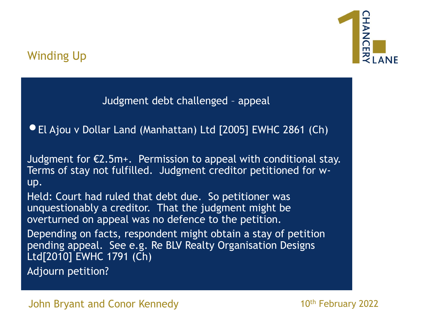

Judgment debt challenged – appeal

•El Ajou v Dollar Land (Manhattan) Ltd [2005] EWHC 2861 (Ch)

Judgment for  $E2.5m+$ . Permission to appeal with conditional stay. Terms of stay not fulfilled. Judgment creditor petitioned for wup.

Held: Court had ruled that debt due. So petitioner was unquestionably a creditor. That the judgment might be overturned on appeal was no defence to the petition.

Depending on facts, respondent might obtain a stay of petition pending appeal. See e.g. Re BLV Realty Organisation Designs Ltd[2010] EWHC 1791 (Ch)

Adjourn petition?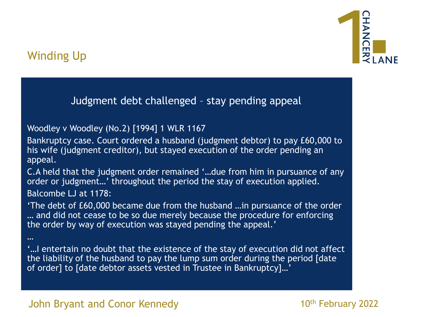

…

Judgment debt challenged – stay pending appeal

#### Woodley v Woodley (No.2) [1994] 1 WLR 1167

Bankruptcy case. Court ordered a husband (judgment debtor) to pay £60,000 to his wife (judgment creditor), but stayed execution of the order pending an appeal.

C.A held that the judgment order remained '…due from him in pursuance of any order or judgment…' throughout the period the stay of execution applied. Balcombe LJ at 1178:

'The debt of £60,000 became due from the husband …in pursuance of the order … and did not cease to be so due merely because the procedure for enforcing the order by way of execution was stayed pending the appeal.'

'…I entertain no doubt that the existence of the stay of execution did not affect the liability of the husband to pay the lump sum order during the period [date of order] to [date debtor assets vested in Trustee in Bankruptcy]…'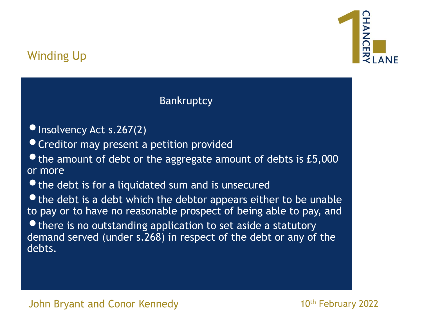

**Bankruptcy** 

- Insolvency Act s.267(2)
- •Creditor may present a petition provided
- $\bullet$  the amount of debt or the aggregate amount of debts is £5,000 or more
- $\bullet$  the debt is for a liquidated sum and is unsecured
- the debt is a debt which the debtor appears either to be unable to pay or to have no reasonable prospect of being able to pay, and
- $\bullet$  there is no outstanding application to set aside a statutory demand served (under s.268) in respect of the debt or any of the debts.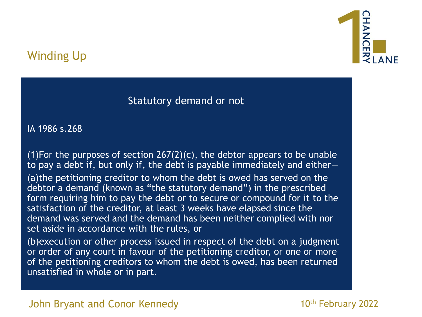

#### Statutory demand or not

IA 1986 s.268

(1)For the purposes of section  $267(2)(c)$ , the debtor appears to be unable to pay a debt if, but only if, the debt is payable immediately and either— (a)the petitioning creditor to whom the debt is owed has served on the debtor a demand (known as "the statutory demand") in the prescribed form requiring him to pay the debt or to secure or compound for it to the satisfaction of the creditor, at least 3 weeks have elapsed since the demand was served and the demand has been neither complied with nor set aside in accordance with the rules, or

(b)execution or other process issued in respect of the debt on a judgment or order of any court in favour of the petitioning creditor, or one or more of the petitioning creditors to whom the debt is owed, has been returned unsatisfied in whole or in part.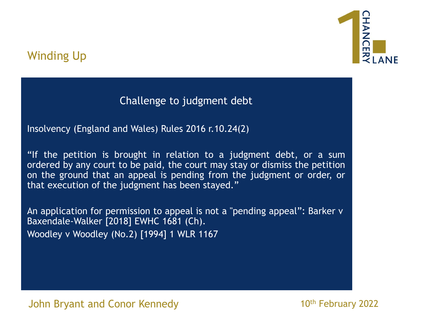

Challenge to judgment debt

Insolvency (England and Wales) Rules 2016 r.10.24(2)

"If the petition is brought in relation to a judgment debt, or a sum ordered by any court to be paid, the court may stay or dismiss the petition on the ground that an appeal is pending from the judgment or order, or that execution of the judgment has been stayed."

An application for permission to appeal is not a "pending appeal": Barker v Baxendale-Walker [2018] EWHC 1681 (Ch). Woodley v Woodley (No.2) [1994] 1 WLR 1167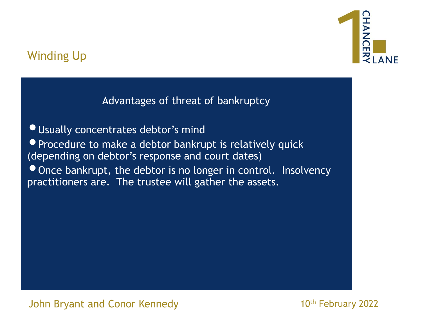

Advantages of threat of bankruptcy

•Usually concentrates debtor's mind • Procedure to make a debtor bankrupt is relatively quick (depending on debtor's response and court dates) • Once bankrupt, the debtor is no longer in control. Insolvency practitioners are. The trustee will gather the assets.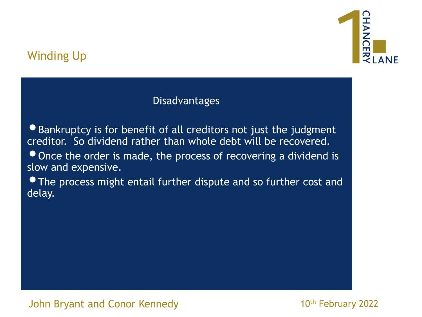## Winding Up



#### **Disadvantages**

•Bankruptcy is for benefit of all creditors not just the judgment creditor. So dividend rather than whole debt will be recovered.

• Once the order is made, the process of recovering a dividend is slow and expensive.

 $\bullet$  The process might entail further dispute and so further cost and delay.

#### John Bryant and Conor Kennedy February 2022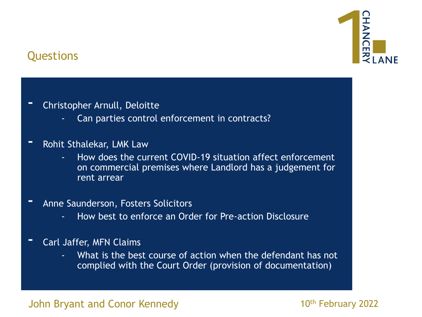

### Questions

- Christopher Arnull, Deloitte
	- Can parties control enforcement in contracts?
- Rohit Sthalekar, LMK Law
	- How does the current COVID-19 situation affect enforcement on commercial premises where Landlord has a judgement for rent arrear
- Anne Saunderson, Fosters Solicitors
	- How best to enforce an Order for Pre-action Disclosure
- Carl Jaffer, MFN Claims
	- What is the best course of action when the defendant has not complied with the Court Order (provision of documentation)

#### John Bryant and Conor Kennedy February 2022